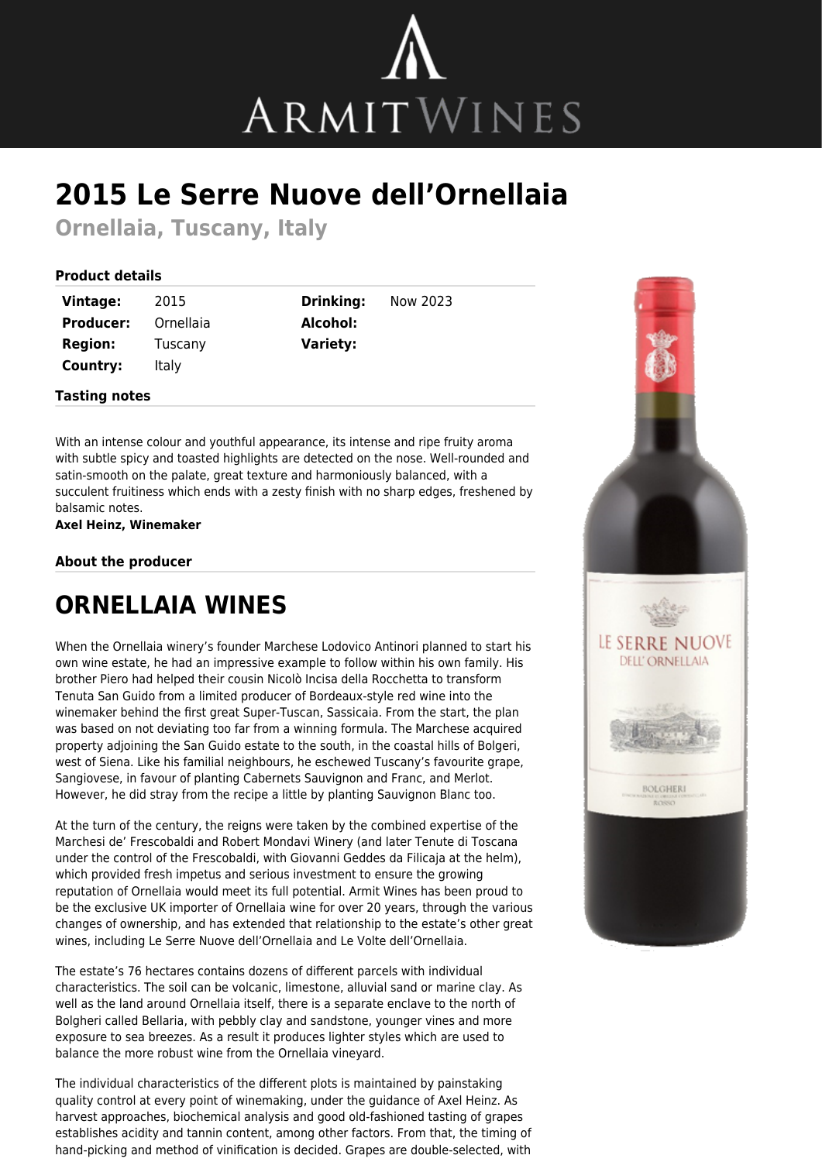

## **2015 Le Serre Nuove dell'Ornellaia**

**Ornellaia, Tuscany, Italy**

## **Product details**

| Vintage:         | 2015      |
|------------------|-----------|
| <b>Producer:</b> | Ornellaia |
| <b>Region:</b>   | Tuscany   |
| Country:         | Italy     |

**Tasting notes**

**Drinking:** Now 2023 **Alcohol: Variety:**

With an intense colour and youthful appearance, its intense and ripe fruity aroma with subtle spicy and toasted highlights are detected on the nose. Well-rounded and satin-smooth on the palate, great texture and harmoniously balanced, with a succulent fruitiness which ends with a zesty finish with no sharp edges, freshened by balsamic notes.

**Axel Heinz, Winemaker**

## **About the producer**

## **ORNELLAIA WINES**

When the Ornellaia winery's founder Marchese Lodovico Antinori planned to start his own wine estate, he had an impressive example to follow within his own family. His brother Piero had helped their cousin Nicolò Incisa della Rocchetta to transform Tenuta San Guido from a limited producer of Bordeaux-style red wine into the winemaker behind the first great Super-Tuscan, Sassicaia. From the start, the plan was based on not deviating too far from a winning formula. The Marchese acquired property adjoining the San Guido estate to the south, in the coastal hills of Bolgeri, west of Siena. Like his familial neighbours, he eschewed Tuscany's favourite grape, Sangiovese, in favour of planting Cabernets Sauvignon and Franc, and Merlot. However, he did stray from the recipe a little by planting Sauvignon Blanc too.

At the turn of the century, the reigns were taken by the combined expertise of the Marchesi de' Frescobaldi and Robert Mondavi Winery (and later Tenute di Toscana under the control of the Frescobaldi, with Giovanni Geddes da Filicaja at the helm), which provided fresh impetus and serious investment to ensure the growing reputation of Ornellaia would meet its full potential. Armit Wines has been proud to be the exclusive UK importer of Ornellaia wine for over 20 years, through the various changes of ownership, and has extended that relationship to the estate's other great wines, including Le Serre Nuove dell'Ornellaia and Le Volte dell'Ornellaia.

The estate's 76 hectares contains dozens of different parcels with individual characteristics. The soil can be volcanic, limestone, alluvial sand or marine clay. As well as the land around Ornellaia itself, there is a separate enclave to the north of Bolgheri called Bellaria, with pebbly clay and sandstone, younger vines and more exposure to sea breezes. As a result it produces lighter styles which are used to balance the more robust wine from the Ornellaia vineyard.

The individual characteristics of the different plots is maintained by painstaking quality control at every point of winemaking, under the guidance of Axel Heinz. As harvest approaches, biochemical analysis and good old-fashioned tasting of grapes establishes acidity and tannin content, among other factors. From that, the timing of hand-picking and method of vinification is decided. Grapes are double-selected, with